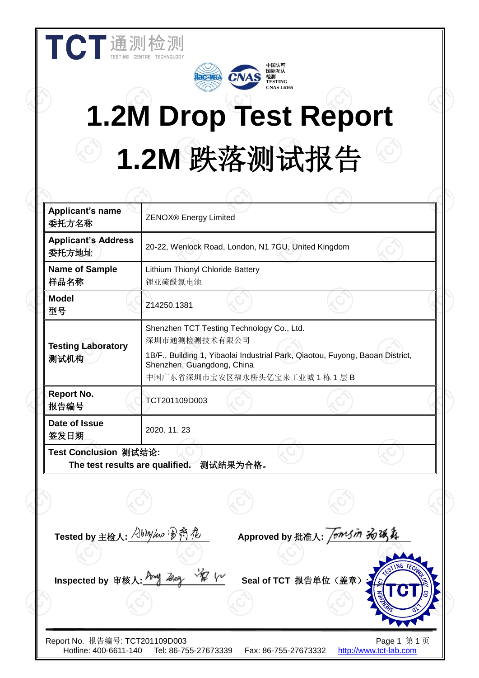| <b>Applicant's name</b><br>委托方名称    | ZENOX® Energy Limited                       |                                                                         |                                                                               |  |
|-------------------------------------|---------------------------------------------|-------------------------------------------------------------------------|-------------------------------------------------------------------------------|--|
| <b>Applicant's Address</b><br>委托方地址 |                                             | 20-22, Wenlock Road, London, N1 7GU, United Kingdom                     |                                                                               |  |
| <b>Name of Sample</b><br>样品名称       | Lithium Thionyl Chloride Battery<br>锂亚硫酰氯电池 |                                                                         |                                                                               |  |
| <b>Model</b><br>型号                  | Z14250.1381                                 |                                                                         |                                                                               |  |
| <b>Testing Laboratory</b><br>测试机构   | 深圳市通测检测技术有限公司<br>Shenzhen, Guangdong, China | Shenzhen TCT Testing Technology Co., Ltd.<br>中国广东省深圳市宝安区福永桥头亿宝来工业城1栋1层B | 1B/F., Building 1, Yibaolai Industrial Park, Qiaotou, Fuyong, Baoan District, |  |
| <b>Report No.</b><br>报告编号           | TCT201109D003                               |                                                                         |                                                                               |  |
| Date of Issue<br>签发日期               | 2020. 11. 23                                |                                                                         |                                                                               |  |
| <b>Test Conclusion 测试结论:</b>        | The test results are qualified. 测试结果为合格。    |                                                                         |                                                                               |  |
|                                     |                                             |                                                                         |                                                                               |  |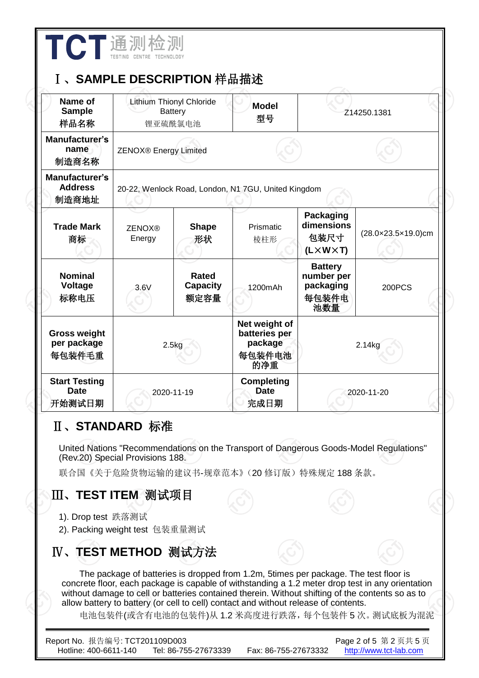| Name of<br><b>Sample</b><br>样品名称                 |                              | Lithium Thionyl Chloride<br><b>Battery</b><br>锂亚硫酰氯电池 | <b>Model</b><br>型号                                         |                                                                   | Z14250.1381        |
|--------------------------------------------------|------------------------------|-------------------------------------------------------|------------------------------------------------------------|-------------------------------------------------------------------|--------------------|
| Manufacturer's<br>name<br>制造商名称                  | <b>ZENOX®</b> Energy Limited |                                                       |                                                            |                                                                   |                    |
| <b>Manufacturer's</b><br><b>Address</b><br>制造商地址 |                              |                                                       | 20-22, Wenlock Road, London, N1 7GU, United Kingdom        |                                                                   |                    |
| <b>Trade Mark</b><br>商标                          | <b>ZENOX®</b><br>Energy      | <b>Shape</b><br>形状                                    | Prismatic<br>棱柱形                                           | <b>Packaging</b><br>dimensions<br>包装尺寸<br>$(L \times W \times T)$ | (28.0×23.5×19.0)cm |
| <b>Nominal</b><br>Voltage<br>标称电压                | 3.6V                         | <b>Rated</b><br><b>Capacity</b><br>额定容量               | 1200mAh                                                    | <b>Battery</b><br>number per<br>packaging<br>每包装件电<br>池数量         | <b>200PCS</b>      |
| <b>Gross weight</b><br>per package<br>每包装件毛重     |                              | 2.5kg                                                 | Net weight of<br>batteries per<br>package<br>每包装件电池<br>的净重 |                                                                   | 2.14kg             |
| <b>Start Testing</b><br>Date<br>开始测试日期           |                              | 2020-11-19                                            | <b>Completing</b><br><b>Date</b><br>完成日期                   |                                                                   | 2020-11-20         |

联合国《关于危险货物运输的建议书-规章范本》(20修订版)特殊规定188条款。

## Ⅲ、**TEST ITEM** 测试项目

- 1). Drop test 跌落测试
- 2). Packing weight test 包装重量测试

## Ⅳ、**TEST METHOD** 测试方法

The package of batteries is dropped from 1.2m, 5times per package. The test floor is concrete floor, each package is capable of withstanding a 1.2 meter drop test in any orientation without damage to cell or batteries contained therein. Without shifting of the contents so as to allow battery to battery (or cell to cell) contact and without release of contents.

电池包装件(或含有电池的包装件)从 1.2 米高度进行跌落,每个包装件 5 次。测试底板为混泥

| Report No. 报告编号: TCT201109D003 |                      |                      | Page 2 of 5 第 2 页共 5 页 |
|--------------------------------|----------------------|----------------------|------------------------|
| Hotline: 400-6611-140          | Tel: 86-755-27673339 | Fax: 86-755-27673332 | http://www.tct-lab.com |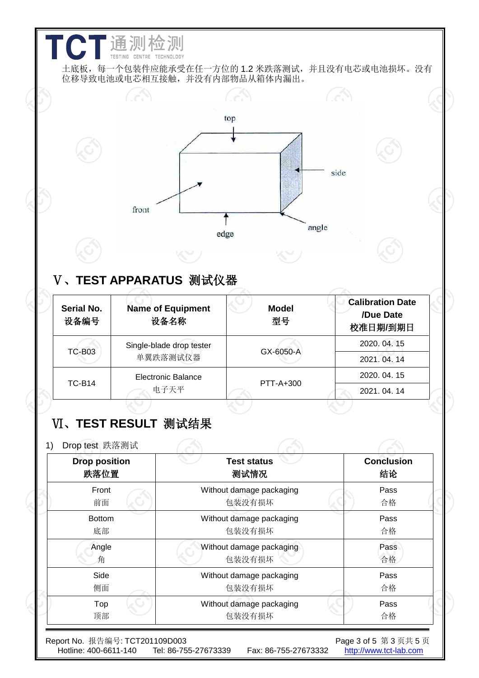|                              | front                                                       | top                                | side  |                                                  |
|------------------------------|-------------------------------------------------------------|------------------------------------|-------|--------------------------------------------------|
|                              |                                                             | edge                               | angle |                                                  |
| <b>Serial No.</b><br>设备编号    | V 、TEST APPARATUS  测试仪器<br><b>Name of Equipment</b><br>设备名称 | <b>Model</b><br>型号                 |       | <b>Calibration Date</b><br>/Due Date<br>校准日期/到期日 |
| <b>TC-B03</b>                | Single-blade drop tester<br>单翼跌落测试仪器                        | GX-6050-A                          |       | 2020.04.15<br>2021.04.14                         |
|                              | <b>Electronic Balance</b><br>电子天平                           | PTT-A+300                          |       | 2020.04.15<br>2021.04.14                         |
| <b>TC-B14</b>                |                                                             |                                    |       |                                                  |
| Drop test 跌落测试               | VI、TEST RESULT 测试结果                                         |                                    |       |                                                  |
| <b>Drop position</b><br>跌落位置 |                                                             | <b>Test status</b><br>测试情况         |       | <b>Conclusion</b><br>结论                          |
| Front<br>前面                  |                                                             | Without damage packaging<br>包装没有损坏 |       | Pass<br>合格                                       |
| <b>Bottom</b><br>底部          |                                                             | Without damage packaging<br>包装没有损坏 |       | Pass<br>合格                                       |
| Angle<br>角                   |                                                             | Without damage packaging<br>包装没有损坏 |       | Pass<br>合格                                       |
| Side<br>侧面                   |                                                             | Without damage packaging<br>包装没有损坏 |       | Pass<br>合格                                       |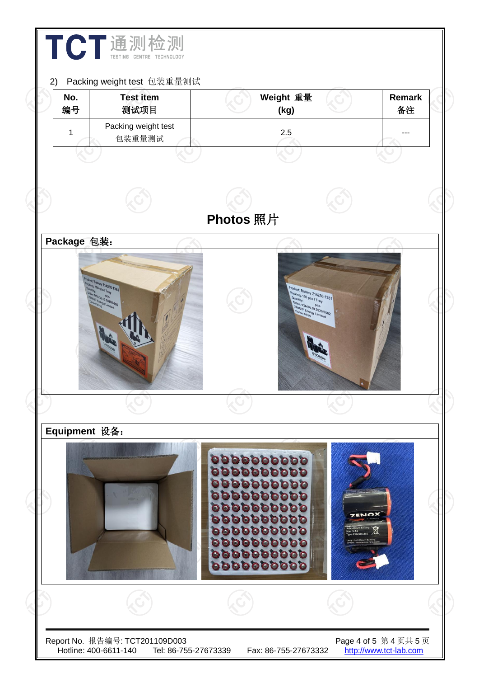